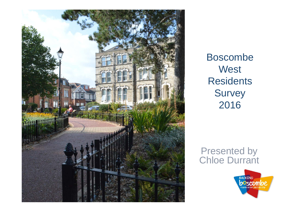

Boscombe **West Residents Survey** 2016

#### Presented by Chloe Durrant

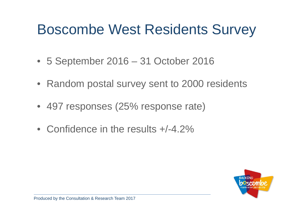# Boscombe West Residents Survey

- 5 September 2016 31 October 2016
- Random postal survey sent to 2000 residents
- 497 responses (25% response rate)
- Confidence in the results +/-4.2%

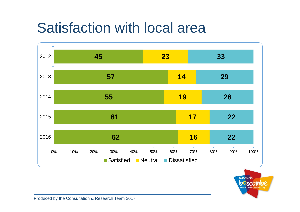# Satisfaction with local area



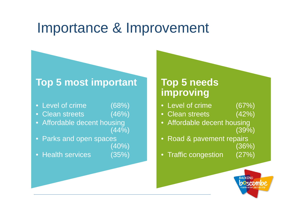#### Importance & Improvement

#### **Top 5 most important**

- Level of crime (68%)
- Clean streets (46%)
- Affordable decent housing (44%)
- Parks and open spaces (40%)
- Health services (35%)

#### **Top 5 needs improving**

- Level of crime (67%)
- Clean streets (42%)
- Affordable decent housing (39%)
- Road & pavement repairs (36%)
- Traffic congestion (27%)

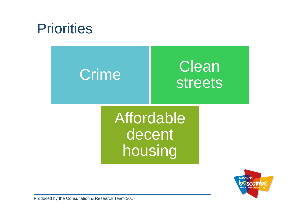## **Priorities**



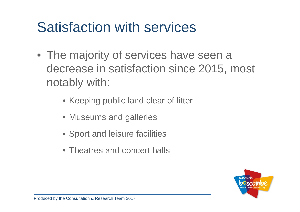# Satisfaction with services

- The majority of services have seen a decrease in satisfaction since 2015, most notably with:
	- Keeping public land clear of litter
	- Museums and galleries
	- Sport and leisure facilities
	- Theatres and concert halls

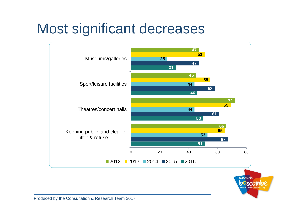# Most significant decreases



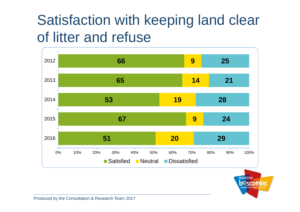# Satisfaction with keeping land clear of litter and refuse



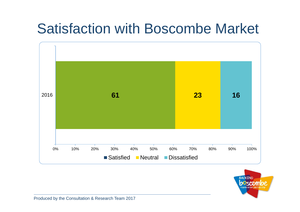# Satisfaction with Boscombe Market



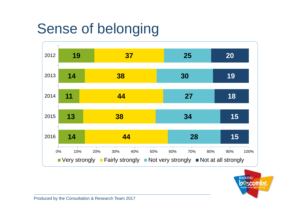# Sense of belonging



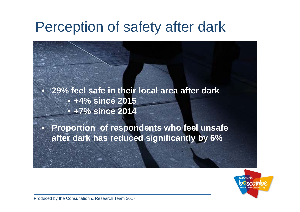## Perception of safety after dark

 **29% feel safe in their local area after dark** • **+4% since 2015** • **+7% since 2014**

• **Proportion of respondents who feel unsafe after dark has reduced significantly by 6%**



 $\bullet$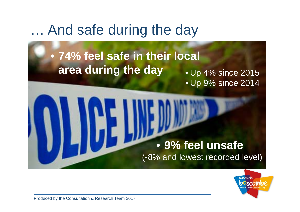#### … And safe during the day

# • **74% feel safe in their local area during the day** • Up 4% since 2015 • Up 9% since 2014 • **9% feel unsafe** (-8% and lowest recorded level)

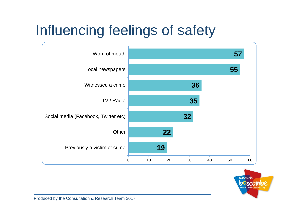# Influencing feelings of safety



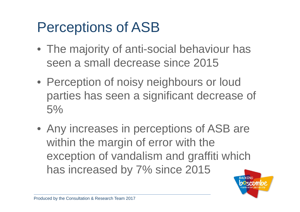# Perceptions of ASB

- The majority of anti-social behaviour has seen a small decrease since 2015
- Perception of noisy neighbours or loud parties has seen a significant decrease of 5%
- Any increases in perceptions of ASB are within the margin of error with the exception of vandalism and graffiti which has increased by 7% since 2015

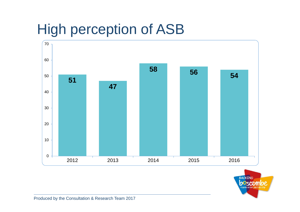# High perception of ASB



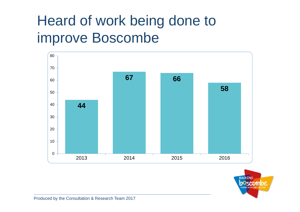# Heard of work being done to improve Boscombe



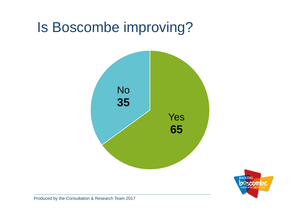# Is Boscombe improving?



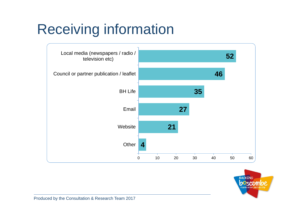# Receiving information



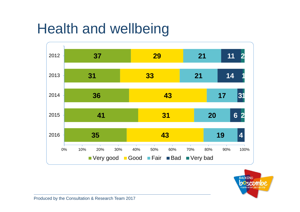# Health and wellbeing



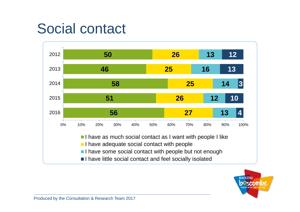## Social contact